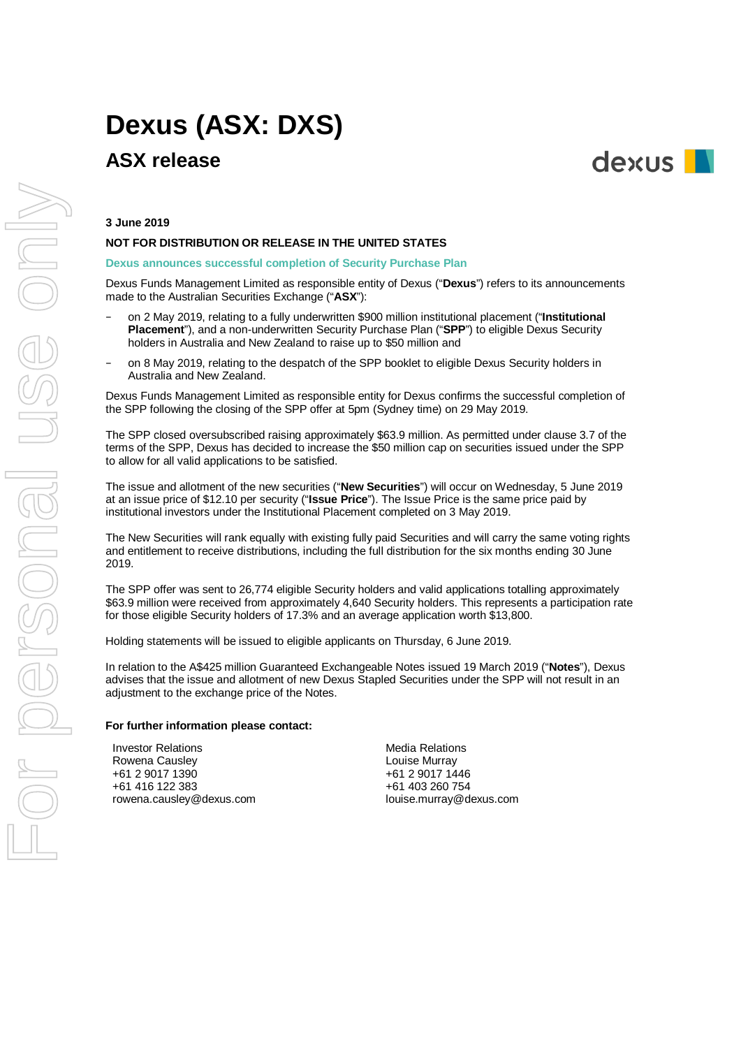# **Dexus (ASX: DXS)**

# **ASX release**



# **3 June 2019**

# **NOT FOR DISTRIBUTION OR RELEASE IN THE UNITED STATES**

### **Dexus announces successful completion of Security Purchase Plan**

Dexus Funds Management Limited as responsible entity of Dexus ("**Dexus**") refers to its announcements made to the Australian Securities Exchange ("**ASX**"):

- − on 2 May 2019, relating to a fully underwritten \$900 million institutional placement ("**Institutional Placement**"), and a non-underwritten Security Purchase Plan ("**SPP**") to eligible Dexus Security holders in Australia and New Zealand to raise up to \$50 million and
- on 8 May 2019, relating to the despatch of the SPP booklet to eligible Dexus Security holders in Australia and New Zealand.

Dexus Funds Management Limited as responsible entity for Dexus confirms the successful completion of the SPP following the closing of the SPP offer at 5pm (Sydney time) on 29 May 2019.

The SPP closed oversubscribed raising approximately \$63.9 million. As permitted under clause 3.7 of the terms of the SPP, Dexus has decided to increase the \$50 million cap on securities issued under the SPP to allow for all valid applications to be satisfied.

The issue and allotment of the new securities ("**New Securities**") will occur on Wednesday, 5 June 2019 at an issue price of \$12.10 per security ("**Issue Price**"). The Issue Price is the same price paid by institutional investors under the Institutional Placement completed on 3 May 2019.

The New Securities will rank equally with existing fully paid Securities and will carry the same voting rights and entitlement to receive distributions, including the full distribution for the six months ending 30 June 2019.

The SPP offer was sent to 26,774 eligible Security holders and valid applications totalling approximately \$63.9 million were received from approximately 4,640 Security holders. This represents a participation rate for those eligible Security holders of 17.3% and an average application worth \$13,800.

Holding statements will be issued to eligible applicants on Thursday, 6 June 2019.

In relation to the A\$425 million Guaranteed Exchangeable Notes issued 19 March 2019 ("**Notes**"), Dexus advises that the issue and allotment of new Dexus Stapled Securities under the SPP will not result in an adjustment to the exchange price of the Notes.

#### **For further information please contact:**

Investor Relations Rowena Causley +61 2 9017 1390 +61 416 122 383 rowena.causley@dexus.com Media Relations Louise Murray +61 2 9017 1446 +61 403 260 754 louise.murray@dexus.com